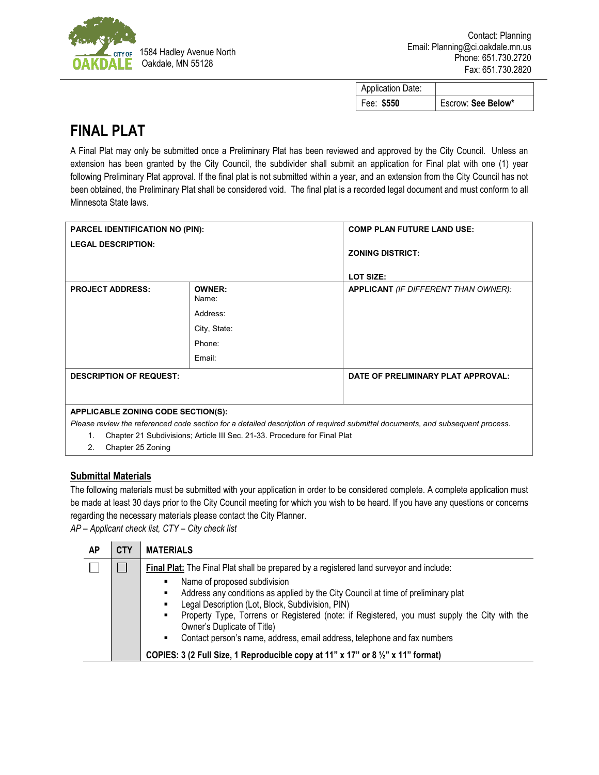

| <b>Application Date:</b> |                    |
|--------------------------|--------------------|
| Fee: \$550               | Escrow: See Below* |

## **FINAL PLAT**

A Final Plat may only be submitted once a Preliminary Plat has been reviewed and approved by the City Council. Unless an extension has been granted by the City Council, the subdivider shall submit an application for Final plat with one (1) year following Preliminary Plat approval. If the final plat is not submitted within a year, and an extension from the City Council has not been obtained, the Preliminary Plat shall be considered void. The final plat is a recorded legal document and must conform to all Minnesota State laws.

| <b>PARCEL IDENTIFICATION NO (PIN):</b>          |                                                                           | <b>COMP PLAN FUTURE LAND USE:</b>                                                                                             |  |
|-------------------------------------------------|---------------------------------------------------------------------------|-------------------------------------------------------------------------------------------------------------------------------|--|
| <b>LEGAL DESCRIPTION:</b>                       |                                                                           | <b>ZONING DISTRICT:</b><br>LOT SIZE:                                                                                          |  |
| <b>PROJECT ADDRESS:</b>                         | <b>OWNER:</b><br>Name:<br>Address:<br>City, State:<br>Phone:<br>Email:    | <b>APPLICANT</b> (IF DIFFERENT THAN OWNER):                                                                                   |  |
| <b>DESCRIPTION OF REQUEST:</b>                  |                                                                           | DATE OF PRELIMINARY PLAT APPROVAL:                                                                                            |  |
| <b>APPLICABLE ZONING CODE SECTION(S):</b><br>1. | Chapter 21 Subdivisions; Article III Sec. 21-33. Procedure for Final Plat | Please review the referenced code section for a detailed description of required submittal documents, and subsequent process. |  |

2. Chapter 25 Zoning

## **Submittal Materials**

The following materials must be submitted with your application in order to be considered complete. A complete application must be made at least 30 days prior to the City Council meeting for which you wish to be heard. If you have any questions or concerns regarding the necessary materials please contact the City Planner.

*AP – Applicant check list, CTY – City check list*

| Final Plat: The Final Plat shall be prepared by a registered land surveyor and include:                                                                                                                                                                                                                                                        | AP | <b>CTY</b> | <b>MATERIALS</b>                                                                                                             |
|------------------------------------------------------------------------------------------------------------------------------------------------------------------------------------------------------------------------------------------------------------------------------------------------------------------------------------------------|----|------------|------------------------------------------------------------------------------------------------------------------------------|
| Address any conditions as applied by the City Council at time of preliminary plat<br>Legal Description (Lot, Block, Subdivision, PIN)<br>٠<br>Owner's Duplicate of Title)<br>Contact person's name, address, email address, telephone and fax numbers<br>٠<br>COPIES: 3 (2 Full Size, 1 Reproducible copy at 11" x 17" or 8 1/2" x 11" format) |    |            | Name of proposed subdivision<br>Property Type, Torrens or Registered (note: if Registered, you must supply the City with the |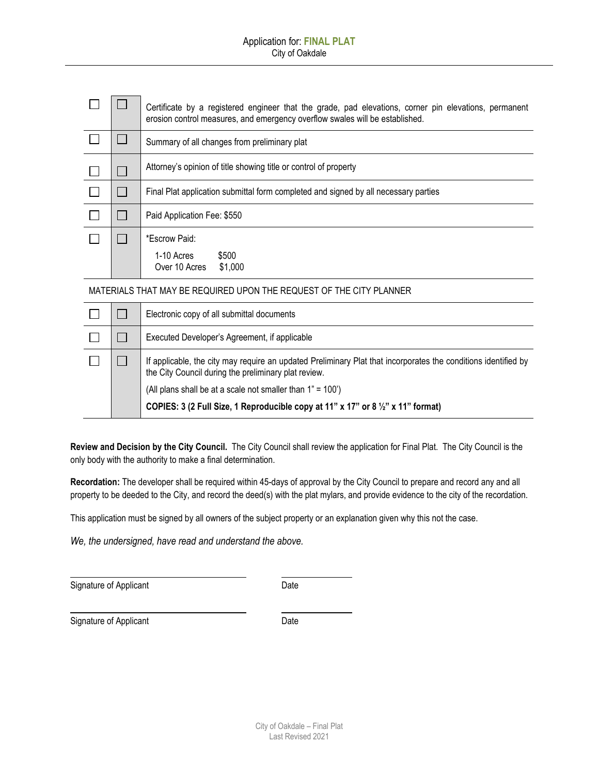|  | Certificate by a registered engineer that the grade, pad elevations, corner pin elevations, permanent<br>erosion control measures, and emergency overflow swales will be established. |  |  |  |
|--|---------------------------------------------------------------------------------------------------------------------------------------------------------------------------------------|--|--|--|
|  | Summary of all changes from preliminary plat                                                                                                                                          |  |  |  |
|  | Attorney's opinion of title showing title or control of property                                                                                                                      |  |  |  |
|  | Final Plat application submittal form completed and signed by all necessary parties                                                                                                   |  |  |  |
|  | Paid Application Fee: \$550                                                                                                                                                           |  |  |  |
|  | *Escrow Paid:                                                                                                                                                                         |  |  |  |
|  | \$500<br>1-10 Acres<br>Over 10 Acres<br>\$1,000                                                                                                                                       |  |  |  |

MATERIALS THAT MAY BE REQUIRED UPON THE REQUEST OF THE CITY PLANNER

|  | Electronic copy of all submittal documents                                                                                                                                                                                                                                                                               |
|--|--------------------------------------------------------------------------------------------------------------------------------------------------------------------------------------------------------------------------------------------------------------------------------------------------------------------------|
|  | Executed Developer's Agreement, if applicable                                                                                                                                                                                                                                                                            |
|  | If applicable, the city may require an updated Preliminary Plat that incorporates the conditions identified by<br>the City Council during the preliminary plat review.<br>(All plans shall be at a scale not smaller than 1" = 100')<br>COPIES: 3 (2 Full Size, 1 Reproducible copy at 11" x 17" or 8 1/2" x 11" format) |

**Review and Decision by the City Council.** The City Council shall review the application for Final Plat. The City Council is the only body with the authority to make a final determination.

**Recordation:** The developer shall be required within 45-days of approval by the City Council to prepare and record any and all property to be deeded to the City, and record the deed(s) with the plat mylars, and provide evidence to the city of the recordation.

This application must be signed by all owners of the subject property or an explanation given why this not the case.

*We, the undersigned, have read and understand the above.*

Signature of Applicant Date Date

Signature of Applicant Date Date